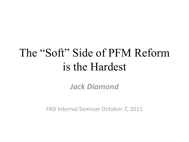# The "Soft" Side of PFM Reform is the Hardest

*Jack Diamond*

FAD Internal Seminar October 7, 2011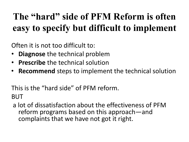## **The "hard" side of PFM Reform is often easy to specify but difficult to implement**

Often it is not too difficult to:

- **Diagnose** the technical problem
- **Prescribe** the technical solution
- **Recommend** steps to implement the technical solution

This is the "hard side" of PFM reform. BUT

a lot of dissatisfaction about the effectiveness of PFM reform programs based on this approach—and complaints that we have not got it right.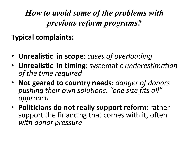*How to avoid some of the problems with previous reform programs?*

**Typical complaints:**

- **Unrealistic in scope**: *cases of overloading*
- **Unrealistic in timing**: systematic *underestimation of the time required*
- **Not geared to country needs**: *danger of donors pushing their own solutions, "one size fits all" approach*
- **Politicians do not really support reform**: rather support the financing that comes with it, often *with donor pressure*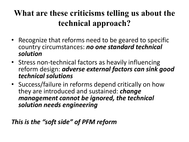### **What are these criticisms telling us about the technical approach?**

- Recognize that reforms need to be geared to specific country circumstances: *no one standard technical solution*
- Stress non-technical factors as heavily influencing reform design: *adverse external factors can sink good technical solutions*
- Success/failure in reforms depend critically on how they are introduced and sustained: *change management cannot be ignored, the technical solution needs engineering*

*This is the "soft side" of PFM reform*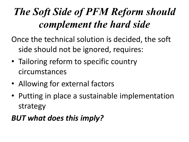# *The Soft Side of PFM Reform should complement the hard side*

Once the technical solution is decided, the soft side should not be ignored, requires:

- Tailoring reform to specific country circumstances
- Allowing for external factors
- Putting in place a sustainable implementation strategy

### *BUT what does this imply?*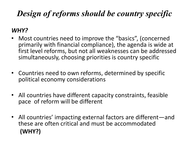### *Design of reforms should be country specific*

#### *WHY?*

- Most countries need to improve the "basics", (concerned primarily with financial compliance), the agenda is wide at first level reforms, but not all weaknesses can be addressed simultaneously, choosing priorities is country specific
- Countries need to own reforms, determined by specific political economy considerations
- All countries have different capacity constraints, feasible pace of reform will be different
- All countries' impacting external factors are different—and these are often critical and must be accommodated **(WHY?)**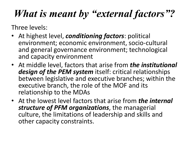## *What is meant by "external factors"?*

Three levels:

- At highest level, *conditioning factors*: political environment; economic environment, socio-cultural and general governance environment; technological and capacity environment
- At middle level, factors that arise from *the institutional design of the PEM system* itself: critical relationships between legislative and executive branches; within the executive branch, the role of the MOF and its relationship to the MDAs
- At the lowest level factors that arise from *the internal structure of PFM organizations*, the managerial culture, the limitations of leadership and skills and other capacity constraints.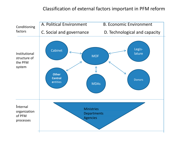#### Classification of external factors important in PFM reform

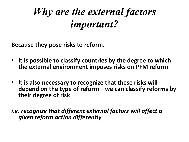## *Why are the external factors important?*

**Because they pose risks to reform.** 

- **It is possible to classify countries by the degree to which the external environment imposes risks on PFM reform**
- **It is also necessary to recognize that these risks will depend on the type of reform—we can classify reforms by their degree of risk**

*i.e. recognize that different external factors will affect a given reform action differently*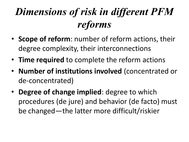# *Dimensions of risk in different PFM reforms*

- **Scope of reform**: number of reform actions, their degree complexity, their interconnections
- **Time required** to complete the reform actions
- **Number of institutions involved** (concentrated or de-concentrated)
- **Degree of change implied**: degree to which procedures (de jure) and behavior (de facto) must be changed—the latter more difficult/riskier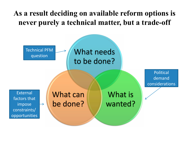#### **As a result deciding on available reform options is never purely a technical matter, but a trade-off**

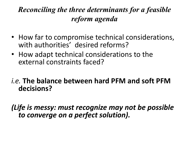### *Reconciling the three determinants for a feasible reform agenda*

- How far to compromise technical considerations, with authorities' desired reforms?
- How adapt technical considerations to the external constraints faced?

#### *i.e.* **The balance between hard PFM and soft PFM decisions?**

*(Life is messy: must recognize may not be possible to converge on a perfect solution).*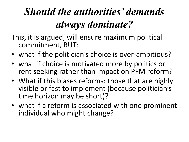# *Should the authorities' demands always dominate?*

- This, it is argued, will ensure maximum political commitment, BUT:
- what if the politician's choice is over-ambitious?
- what if choice is motivated more by politics or rent seeking rather than impact on PFM reform?
- What if this biases reforms: those that are highly visible or fast to implement (because politician's time horizon may be short)?
- what if a reform is associated with one prominent individual who might change?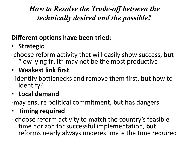*How to Resolve the Trade-off between the technically desired and the possible?*

#### **Different options have been tried:**

### • **Strategic**

-choose reform activity that will easily show success, **but** "low lying fruit" may not be the most productive

### • **Weakest link first**

- identify bottlenecks and remove them first, **but** how to identify?

### • **Local demand**

-may ensure political commitment, **but** has dangers

#### • **Timing required**

- choose reform activity to match the country's feasible time horizon for successful implementation, **but** reforms nearly always underestimate the time required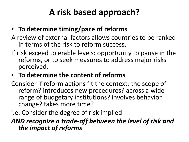## **A risk based approach?**

- **To determine timing/pace of reforms**
- A review of external factors allows countries to be ranked in terms of the risk to reform success.
- If risk exceed tolerable levels: opportunity to pause in the reforms, or to seek measures to address major risks perceived.
- **To determine the content of reforms**

Consider if reform actions fit the context: the scope of reform? introduces new procedures? across a wide range of budgetary institutions? involves behavior change? takes more time?

i.e. Consider the degree of risk implied

#### *AND recognize a trade-off between the level of risk and the impact of reforms*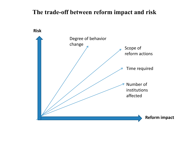#### **The trade-off between reform impact and risk**

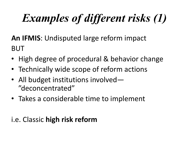# *Examples of different risks (1)*

**An IFMIS**: Undisputed large reform impact BUT

- High degree of procedural & behavior change
- Technically wide scope of reform actions
- All budget institutions involved— "deconcentrated"
- Takes a considerable time to implement

### i.e. Classic **high risk reform**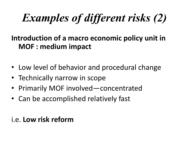# *Examples of different risks (2)*

#### **Introduction of a macro economic policy unit in MOF : medium impact**

- Low level of behavior and procedural change
- Technically narrow in scope
- Primarily MOF involved—concentrated
- Can be accomplished relatively fast

#### i.e. **Low risk reform**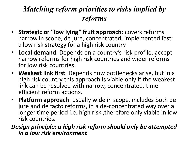### *Matching reform priorities to risks implied by reforms*

- **Strategic or "low lying" fruit approach**: covers reforms narrow in scope, de jure, concentrated, implemented fast: a low risk strategy for a high risk country
- **Local demand**. Depends on a country's risk profile: accept narrow reforms for high risk countries and wider reforms for low risk countries.
- **Weakest link first**. Depends how bottlenecks arise, but in a high risk country this approach is viable only if the weakest link can be resolved with narrow, concentrated, time efficient reform actions.
- **Platform approach**: usually wide in scope, includes both de jure and de facto reforms, in a de-concentrated way over a longer time period i.e. high risk ,therefore only viable in low risk countries.

*Design principle: a high risk reform should only be attempted in a low risk environment*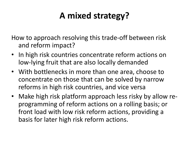### **A mixed strategy?**

How to approach resolving this trade-off between risk and reform impact?

- In high risk countries concentrate reform actions on low-lying fruit that are also locally demanded
- With bottlenecks in more than one area, choose to concentrate on those that can be solved by narrow reforms in high risk countries, and vice versa
- Make high risk platform approach less risky by allow reprogramming of reform actions on a rolling basis; or front load with low risk reform actions, providing a basis for later high risk reform actions.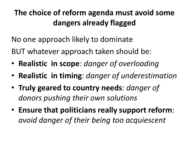### **The choice of reform agenda must avoid some dangers already flagged**

No one approach likely to dominate

BUT whatever approach taken should be:

- **Realistic in scope**: *danger of overloading*
- **Realistic in timing**: *danger of underestimation*
- **Truly geared to country needs**: *danger of donors pushing their own solutions*
- **Ensure that politicians really support reform**: *avoid danger of their being too acquiescent*